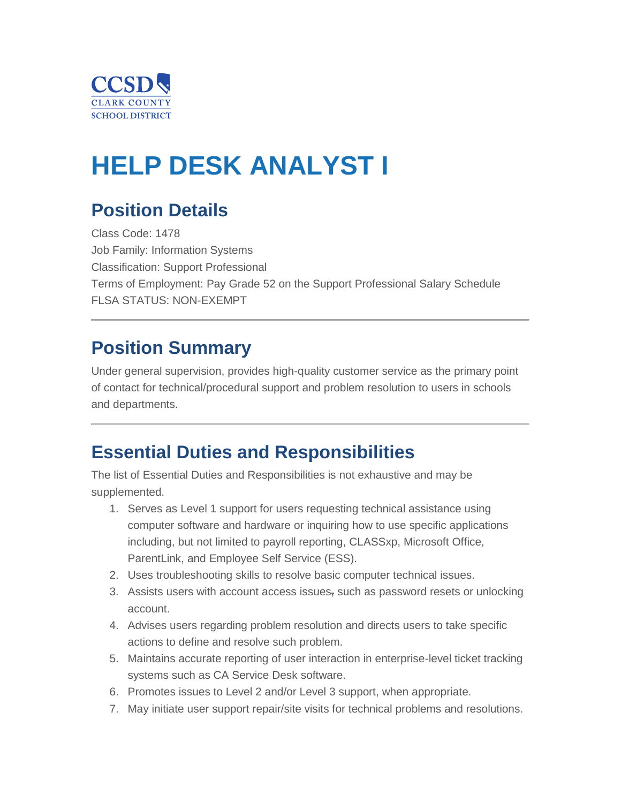

# **HELP DESK ANALYST I**

# **Position Details**

Class Code: 1478 Job Family: Information Systems Classification: Support Professional Terms of Employment: Pay Grade 52 on the Support Professional Salary Schedule FLSA STATUS: NON-EXEMPT

### **Position Summary**

Under general supervision, provides high-quality customer service as the primary point of contact for technical/procedural support and problem resolution to users in schools and departments.

### **Essential Duties and Responsibilities**

The list of Essential Duties and Responsibilities is not exhaustive and may be supplemented.

- 1. Serves as Level 1 support for users requesting technical assistance using computer software and hardware or inquiring how to use specific applications including, but not limited to payroll reporting, CLASSxp, Microsoft Office, ParentLink, and Employee Self Service (ESS).
- 2. Uses troubleshooting skills to resolve basic computer technical issues.
- 3. Assists users with account access issues, such as password resets or unlocking account.
- 4. Advises users regarding problem resolution and directs users to take specific actions to define and resolve such problem.
- 5. Maintains accurate reporting of user interaction in enterprise-level ticket tracking systems such as CA Service Desk software.
- 6. Promotes issues to Level 2 and/or Level 3 support, when appropriate.
- 7. May initiate user support repair/site visits for technical problems and resolutions.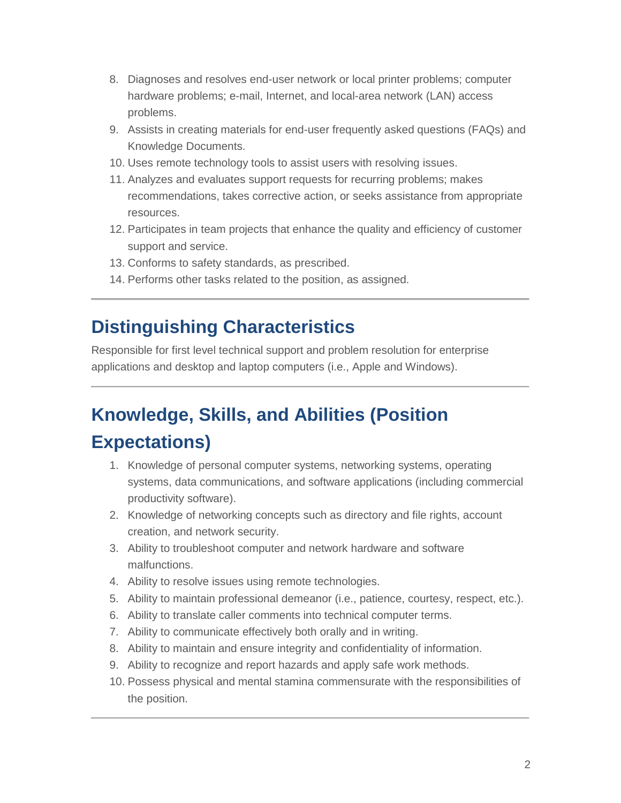- 8. Diagnoses and resolves end-user network or local printer problems; computer hardware problems; e-mail, Internet, and local-area network (LAN) access problems.
- 9. Assists in creating materials for end-user frequently asked questions (FAQs) and Knowledge Documents.
- 10. Uses remote technology tools to assist users with resolving issues.
- 11. Analyzes and evaluates support requests for recurring problems; makes recommendations, takes corrective action, or seeks assistance from appropriate resources.
- 12. Participates in team projects that enhance the quality and efficiency of customer support and service.
- 13. Conforms to safety standards, as prescribed.
- 14. Performs other tasks related to the position, as assigned.

### **Distinguishing Characteristics**

Responsible for first level technical support and problem resolution for enterprise applications and desktop and laptop computers (i.e., Apple and Windows).

# **Knowledge, Skills, and Abilities (Position Expectations)**

- 1. Knowledge of personal computer systems, networking systems, operating systems, data communications, and software applications (including commercial productivity software).
- 2. Knowledge of networking concepts such as directory and file rights, account creation, and network security.
- 3. Ability to troubleshoot computer and network hardware and software malfunctions.
- 4. Ability to resolve issues using remote technologies.
- 5. Ability to maintain professional demeanor (i.e., patience, courtesy, respect, etc.).
- 6. Ability to translate caller comments into technical computer terms.
- 7. Ability to communicate effectively both orally and in writing.
- 8. Ability to maintain and ensure integrity and confidentiality of information.
- 9. Ability to recognize and report hazards and apply safe work methods.
- 10. Possess physical and mental stamina commensurate with the responsibilities of the position.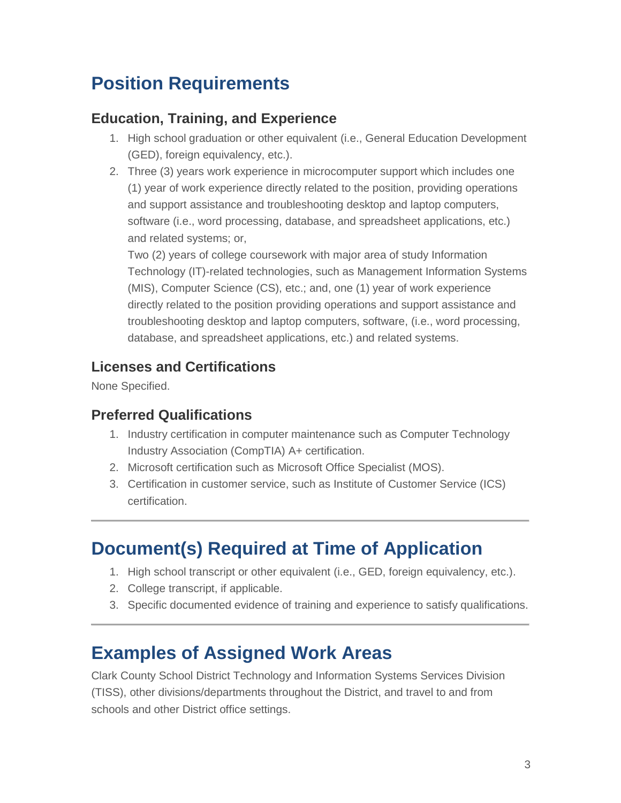# **Position Requirements**

### **Education, Training, and Experience**

- 1. High school graduation or other equivalent (i.e., General Education Development (GED), foreign equivalency, etc.).
- 2. Three (3) years work experience in microcomputer support which includes one (1) year of work experience directly related to the position, providing operations and support assistance and troubleshooting desktop and laptop computers, software (i.e., word processing, database, and spreadsheet applications, etc.) and related systems; or,

Two (2) years of college coursework with major area of study Information Technology (IT)-related technologies, such as Management Information Systems (MIS), Computer Science (CS), etc.; and, one (1) year of work experience directly related to the position providing operations and support assistance and troubleshooting desktop and laptop computers, software, (i.e., word processing, database, and spreadsheet applications, etc.) and related systems.

### **Licenses and Certifications**

None Specified.

#### **Preferred Qualifications**

- 1. Industry certification in computer maintenance such as Computer Technology Industry Association (CompTIA) A+ certification.
- 2. Microsoft certification such as Microsoft Office Specialist (MOS).
- 3. Certification in customer service, such as Institute of Customer Service (ICS) certification.

# **Document(s) Required at Time of Application**

- 1. High school transcript or other equivalent (i.e., GED, foreign equivalency, etc.).
- 2. College transcript, if applicable.
- 3. Specific documented evidence of training and experience to satisfy qualifications.

### **Examples of Assigned Work Areas**

Clark County School District Technology and Information Systems Services Division (TISS), other divisions/departments throughout the District, and travel to and from schools and other District office settings.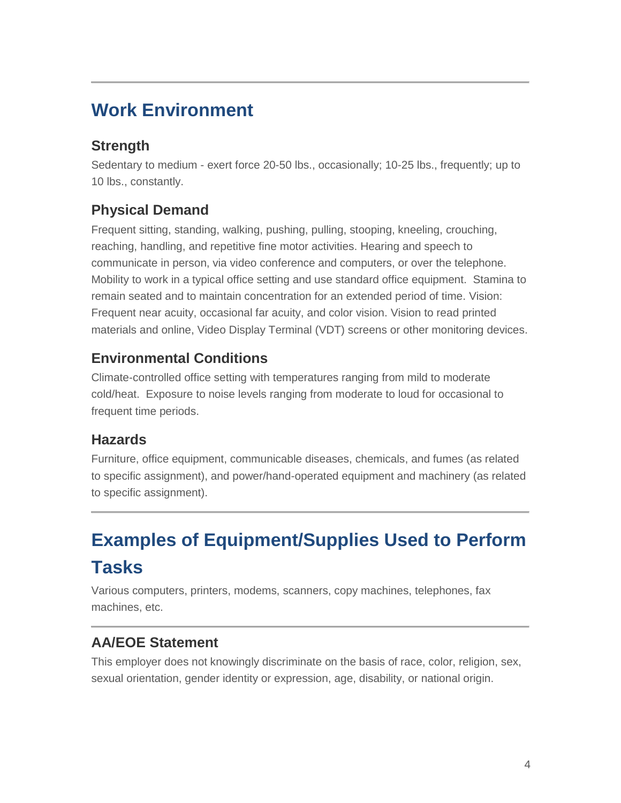# **Work Environment**

### **Strength**

Sedentary to medium - exert force 20-50 lbs., occasionally; 10-25 lbs., frequently; up to 10 lbs., constantly.

### **Physical Demand**

Frequent sitting, standing, walking, pushing, pulling, stooping, kneeling, crouching, reaching, handling, and repetitive fine motor activities. Hearing and speech to communicate in person, via video conference and computers, or over the telephone. Mobility to work in a typical office setting and use standard office equipment. Stamina to remain seated and to maintain concentration for an extended period of time. Vision: Frequent near acuity, occasional far acuity, and color vision. Vision to read printed materials and online, Video Display Terminal (VDT) screens or other monitoring devices.

#### **Environmental Conditions**

Climate-controlled office setting with temperatures ranging from mild to moderate cold/heat. Exposure to noise levels ranging from moderate to loud for occasional to frequent time periods.

#### **Hazards**

Furniture, office equipment, communicable diseases, chemicals, and fumes (as related to specific assignment), and power/hand-operated equipment and machinery (as related to specific assignment).

# **Examples of Equipment/Supplies Used to Perform Tasks**

Various computers, printers, modems, scanners, copy machines, telephones, fax machines, etc.

#### **AA/EOE Statement**

This employer does not knowingly discriminate on the basis of race, color, religion, sex, sexual orientation, gender identity or expression, age, disability, or national origin.